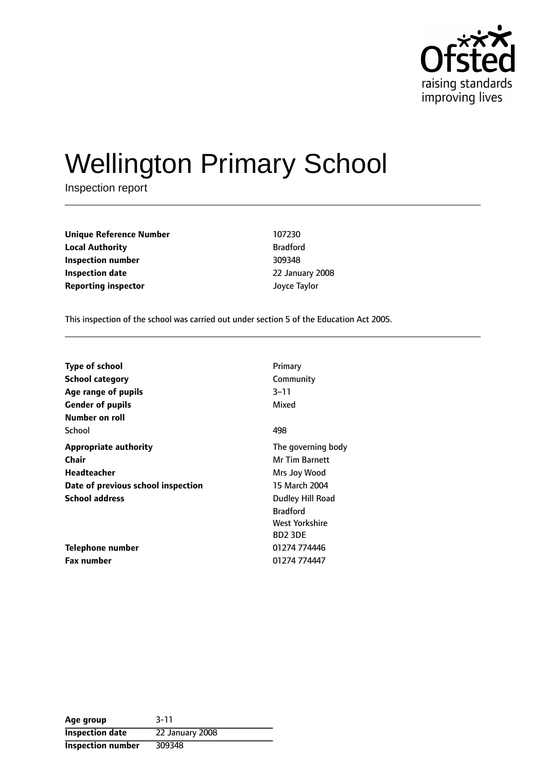

# Wellington Primary School

Inspection report

**Unique Reference Number** 107230 **Local Authority** Bradford **Inspection number** 309348 **Inspection date** 22 January 2008 **Reporting inspector and a structure of the United Structure Taylor** 

This inspection of the school was carried out under section 5 of the Education Act 2005.

| <b>Type of school</b>              | Primary               |
|------------------------------------|-----------------------|
| School category                    | Community             |
| Age range of pupils                | $3 - 11$              |
| <b>Gender of pupils</b>            | Mixed                 |
| Number on roll                     |                       |
| School                             | 498                   |
| <b>Appropriate authority</b>       | The governing body    |
| Chair                              | <b>Mr Tim Barnett</b> |
| Headteacher                        | Mrs Joy Wood          |
| Date of previous school inspection | 15 March 2004         |
| <b>School address</b>              | Dudley Hill Road      |
|                                    | <b>Bradford</b>       |
|                                    | West Yorkshire        |
|                                    | BD <sub>2</sub> 3DE   |
| Telephone number                   | 01274 774446          |
| <b>Fax number</b>                  | 01274 774447          |

| Age group                | $3 - 11$        |
|--------------------------|-----------------|
| <b>Inspection date</b>   | 22 January 2008 |
| <b>Inspection number</b> | 309348          |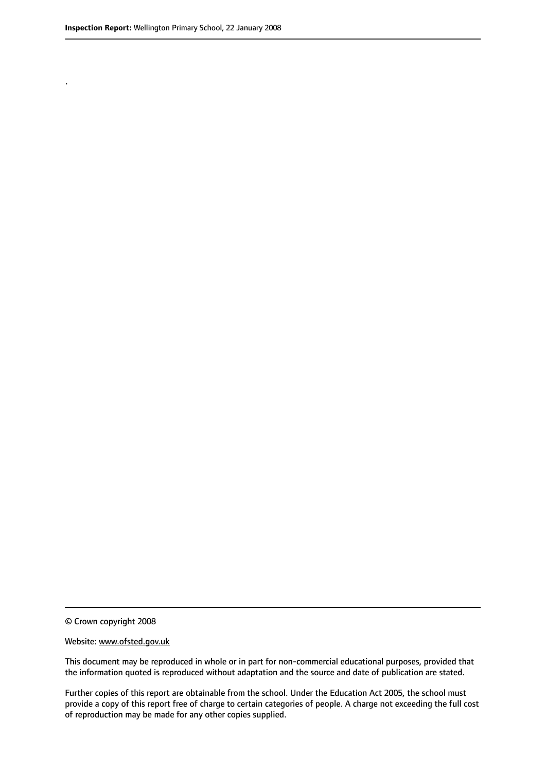.

© Crown copyright 2008

#### Website: www.ofsted.gov.uk

This document may be reproduced in whole or in part for non-commercial educational purposes, provided that the information quoted is reproduced without adaptation and the source and date of publication are stated.

Further copies of this report are obtainable from the school. Under the Education Act 2005, the school must provide a copy of this report free of charge to certain categories of people. A charge not exceeding the full cost of reproduction may be made for any other copies supplied.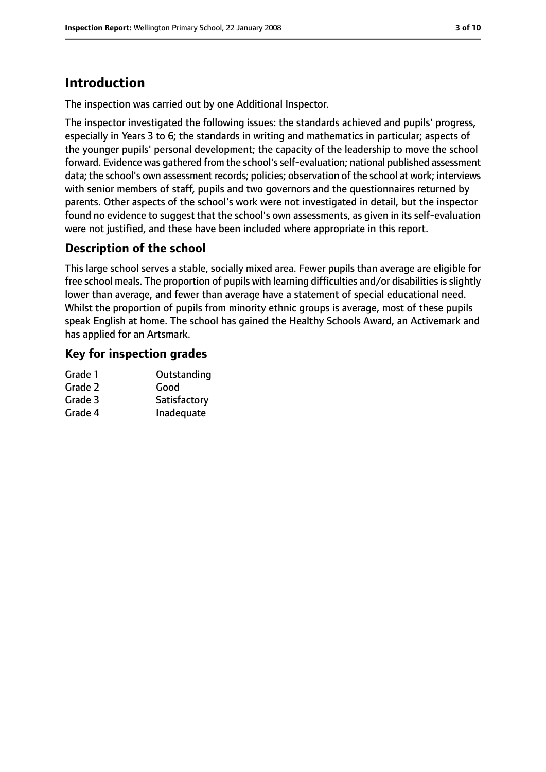# **Introduction**

The inspection was carried out by one Additional Inspector.

The inspector investigated the following issues: the standards achieved and pupils' progress, especially in Years 3 to 6; the standards in writing and mathematics in particular; aspects of the younger pupils' personal development; the capacity of the leadership to move the school forward. Evidence was gathered from the school'sself-evaluation; national published assessment data; the school's own assessment records; policies; observation of the school at work; interviews with senior members of staff, pupils and two governors and the questionnaires returned by parents. Other aspects of the school's work were not investigated in detail, but the inspector found no evidence to suggest that the school's own assessments, as given in its self-evaluation were not justified, and these have been included where appropriate in this report.

# **Description of the school**

This large school serves a stable, socially mixed area. Fewer pupils than average are eligible for free school meals. The proportion of pupils with learning difficulties and/or disabilities is slightly lower than average, and fewer than average have a statement of special educational need. Whilst the proportion of pupils from minority ethnic groups is average, most of these pupils speak English at home. The school has gained the Healthy Schools Award, an Activemark and has applied for an Artsmark.

### **Key for inspection grades**

| Outstanding  |
|--------------|
| Good         |
| Satisfactory |
| Inadequate   |
|              |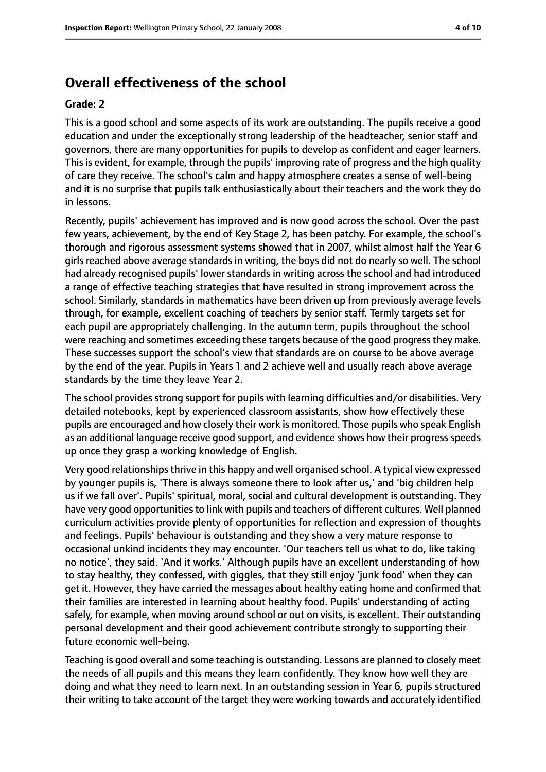# **Overall effectiveness of the school**

#### **Grade: 2**

This is a good school and some aspects of its work are outstanding. The pupils receive a good education and under the exceptionally strong leadership of the headteacher, senior staff and governors, there are many opportunities for pupils to develop as confident and eager learners. This is evident, for example, through the pupils' improving rate of progress and the high quality of care they receive. The school's calm and happy atmosphere creates a sense of well-being and it is no surprise that pupils talk enthusiastically about their teachers and the work they do in lessons.

Recently, pupils' achievement has improved and is now good across the school. Over the past few years, achievement, by the end of Key Stage 2, has been patchy. For example, the school's thorough and rigorous assessment systems showed that in 2007, whilst almost half the Year 6 girls reached above average standards in writing, the boys did not do nearly so well. The school had already recognised pupils' lower standards in writing across the school and had introduced a range of effective teaching strategies that have resulted in strong improvement across the school. Similarly, standards in mathematics have been driven up from previously average levels through, for example, excellent coaching of teachers by senior staff. Termly targets set for each pupil are appropriately challenging. In the autumn term, pupils throughout the school were reaching and sometimes exceeding these targets because of the good progressthey make. These successes support the school's view that standards are on course to be above average by the end of the year. Pupils in Years 1 and 2 achieve well and usually reach above average standards by the time they leave Year 2.

The school provides strong support for pupils with learning difficulties and/or disabilities. Very detailed notebooks, kept by experienced classroom assistants, show how effectively these pupils are encouraged and how closely their work is monitored. Those pupils who speak English as an additional language receive good support, and evidence shows how their progress speeds up once they grasp a working knowledge of English.

Very good relationships thrive in this happy and well organised school. A typical view expressed by younger pupils is, 'There is always someone there to look after us,' and 'big children help us if we fall over'. Pupils' spiritual, moral, social and cultural development is outstanding. They have very good opportunities to link with pupils and teachers of different cultures. Well planned curriculum activities provide plenty of opportunities for reflection and expression of thoughts and feelings. Pupils' behaviour is outstanding and they show a very mature response to occasional unkind incidents they may encounter. 'Our teachers tell us what to do, like taking no notice', they said. 'And it works.' Although pupils have an excellent understanding of how to stay healthy, they confessed, with giggles, that they still enjoy 'junk food' when they can get it. However, they have carried the messages about healthy eating home and confirmed that their families are interested in learning about healthy food. Pupils' understanding of acting safely, for example, when moving around school or out on visits, is excellent. Their outstanding personal development and their good achievement contribute strongly to supporting their future economic well-being.

Teaching is good overall and some teaching is outstanding. Lessons are planned to closely meet the needs of all pupils and this means they learn confidently. They know how well they are doing and what they need to learn next. In an outstanding session in Year 6, pupils structured their writing to take account of the target they were working towards and accurately identified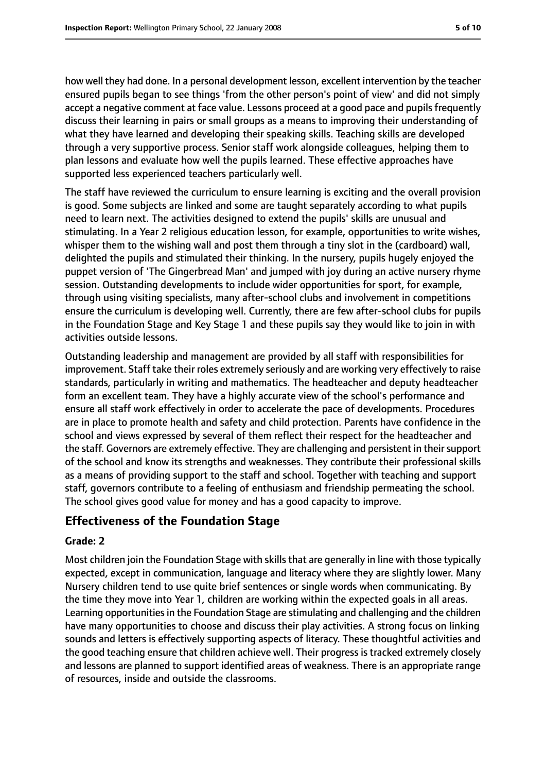how well they had done. In a personal development lesson, excellent intervention by the teacher ensured pupils began to see things 'from the other person's point of view' and did not simply accept a negative comment at face value. Lessons proceed at a good pace and pupils frequently discuss their learning in pairs or small groups as a means to improving their understanding of what they have learned and developing their speaking skills. Teaching skills are developed through a very supportive process. Senior staff work alongside colleagues, helping them to plan lessons and evaluate how well the pupils learned. These effective approaches have supported less experienced teachers particularly well.

The staff have reviewed the curriculum to ensure learning is exciting and the overall provision is good. Some subjects are linked and some are taught separately according to what pupils need to learn next. The activities designed to extend the pupils' skills are unusual and stimulating. In a Year 2 religious education lesson, for example, opportunities to write wishes, whisper them to the wishing wall and post them through a tiny slot in the (cardboard) wall, delighted the pupils and stimulated their thinking. In the nursery, pupils hugely enjoyed the puppet version of 'The Gingerbread Man' and jumped with joy during an active nursery rhyme session. Outstanding developments to include wider opportunities for sport, for example, through using visiting specialists, many after-school clubs and involvement in competitions ensure the curriculum is developing well. Currently, there are few after-school clubs for pupils in the Foundation Stage and Key Stage 1 and these pupils say they would like to join in with activities outside lessons.

Outstanding leadership and management are provided by all staff with responsibilities for improvement. Staff take their roles extremely seriously and are working very effectively to raise standards, particularly in writing and mathematics. The headteacher and deputy headteacher form an excellent team. They have a highly accurate view of the school's performance and ensure all staff work effectively in order to accelerate the pace of developments. Procedures are in place to promote health and safety and child protection. Parents have confidence in the school and views expressed by several of them reflect their respect for the headteacher and the staff. Governors are extremely effective. They are challenging and persistent in their support of the school and know its strengths and weaknesses. They contribute their professional skills as a means of providing support to the staff and school. Together with teaching and support staff, governors contribute to a feeling of enthusiasm and friendship permeating the school. The school gives good value for money and has a good capacity to improve.

## **Effectiveness of the Foundation Stage**

#### **Grade: 2**

Most children join the Foundation Stage with skills that are generally in line with those typically expected, except in communication, language and literacy where they are slightly lower. Many Nursery children tend to use quite brief sentences or single words when communicating. By the time they move into Year 1, children are working within the expected goals in all areas. Learning opportunities in the Foundation Stage are stimulating and challenging and the children have many opportunities to choose and discuss their play activities. A strong focus on linking sounds and letters is effectively supporting aspects of literacy. These thoughtful activities and the good teaching ensure that children achieve well. Their progress is tracked extremely closely and lessons are planned to support identified areas of weakness. There is an appropriate range of resources, inside and outside the classrooms.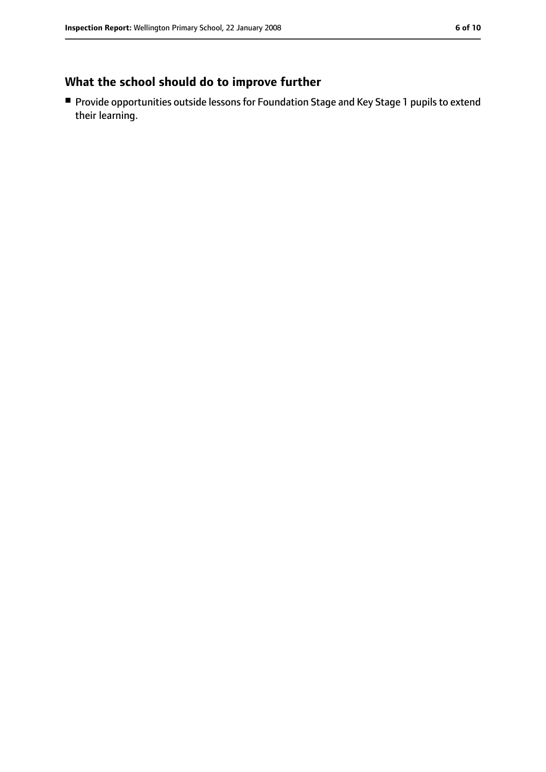# **What the school should do to improve further**

■ Provide opportunities outside lessons for Foundation Stage and Key Stage 1 pupils to extend their learning.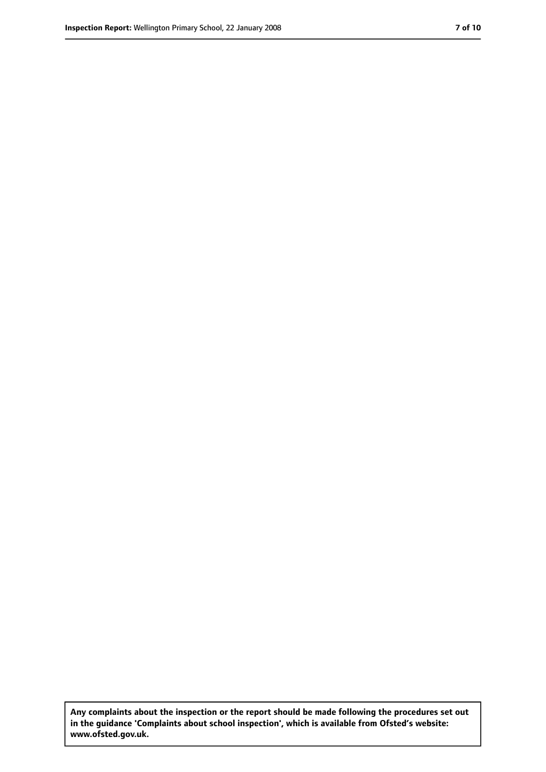**Any complaints about the inspection or the report should be made following the procedures set out in the guidance 'Complaints about school inspection', which is available from Ofsted's website: www.ofsted.gov.uk.**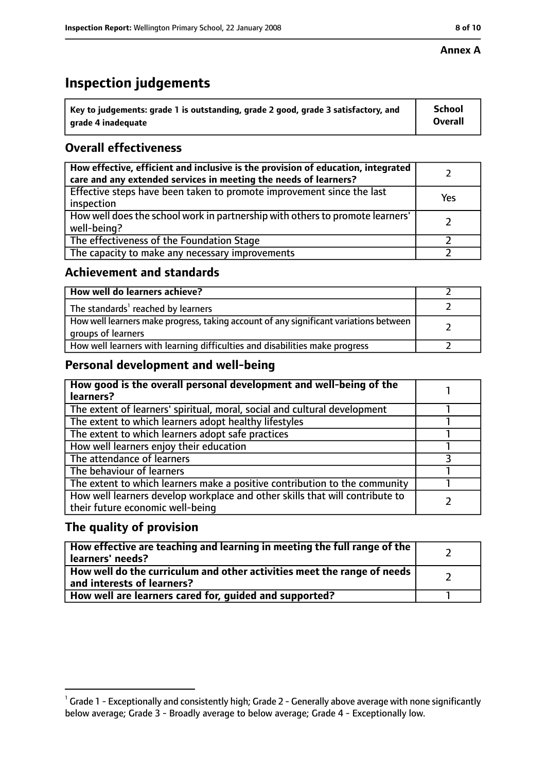#### **Annex A**

# **Inspection judgements**

| $^{\backprime}$ Key to judgements: grade 1 is outstanding, grade 2 good, grade 3 satisfactory, and | <b>School</b>  |
|----------------------------------------------------------------------------------------------------|----------------|
| arade 4 inadequate                                                                                 | <b>Overall</b> |

# **Overall effectiveness**

| How effective, efficient and inclusive is the provision of education, integrated<br>care and any extended services in meeting the needs of learners? |     |
|------------------------------------------------------------------------------------------------------------------------------------------------------|-----|
| Effective steps have been taken to promote improvement since the last<br>inspection                                                                  | Yes |
| How well does the school work in partnership with others to promote learners'<br>well-being?                                                         |     |
| The effectiveness of the Foundation Stage                                                                                                            |     |
| The capacity to make any necessary improvements                                                                                                      |     |

### **Achievement and standards**

| How well do learners achieve?                                                                               |  |
|-------------------------------------------------------------------------------------------------------------|--|
| The standards <sup>1</sup> reached by learners                                                              |  |
| How well learners make progress, taking account of any significant variations between<br>groups of learners |  |
| How well learners with learning difficulties and disabilities make progress                                 |  |

## **Personal development and well-being**

| How good is the overall personal development and well-being of the<br>learners?                                  |  |
|------------------------------------------------------------------------------------------------------------------|--|
| The extent of learners' spiritual, moral, social and cultural development                                        |  |
| The extent to which learners adopt healthy lifestyles                                                            |  |
| The extent to which learners adopt safe practices                                                                |  |
| How well learners enjoy their education                                                                          |  |
| The attendance of learners                                                                                       |  |
| The behaviour of learners                                                                                        |  |
| The extent to which learners make a positive contribution to the community                                       |  |
| How well learners develop workplace and other skills that will contribute to<br>their future economic well-being |  |

## **The quality of provision**

| How effective are teaching and learning in meeting the full range of the<br>learners' needs?          |  |
|-------------------------------------------------------------------------------------------------------|--|
| How well do the curriculum and other activities meet the range of needs<br>and interests of learners? |  |
| How well are learners cared for, guided and supported?                                                |  |

 $^1$  Grade 1 - Exceptionally and consistently high; Grade 2 - Generally above average with none significantly below average; Grade 3 - Broadly average to below average; Grade 4 - Exceptionally low.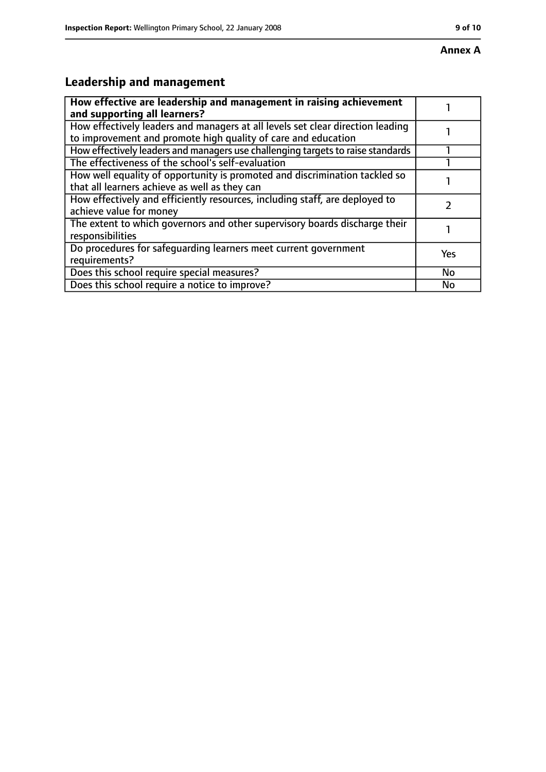# **Leadership and management**

| How effective are leadership and management in raising achievement<br>and supporting all learners?                                              |           |
|-------------------------------------------------------------------------------------------------------------------------------------------------|-----------|
| How effectively leaders and managers at all levels set clear direction leading<br>to improvement and promote high quality of care and education |           |
| How effectively leaders and managers use challenging targets to raise standards                                                                 |           |
| The effectiveness of the school's self-evaluation                                                                                               |           |
| How well equality of opportunity is promoted and discrimination tackled so<br>that all learners achieve as well as they can                     |           |
| How effectively and efficiently resources, including staff, are deployed to<br>achieve value for money                                          |           |
| The extent to which governors and other supervisory boards discharge their<br>responsibilities                                                  |           |
| Do procedures for safequarding learners meet current government<br>requirements?                                                                | Yes       |
| Does this school require special measures?                                                                                                      | <b>No</b> |
| Does this school require a notice to improve?                                                                                                   | No        |